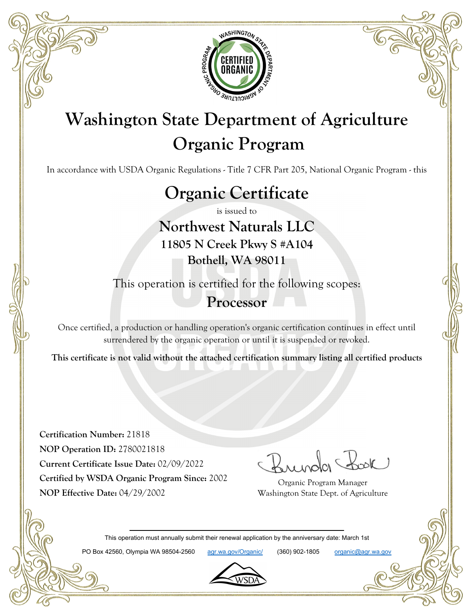

# **Washington State Department of Agriculture Organic Program**

In accordance with USDA Organic Regulations - Title 7 CFR Part 205, National Organic Program - this

# **Organic Certificate**

is issued to

**Northwest Naturals LLC 11805 N Creek Pkwy S #A104 Bothell, WA 98011**

This operation is certified for the following scopes:

### **Processor**

Once certified, a production or handling operation's organic certification continues in effect until surrendered by the organic operation or until it is suspended or revoked.

**This certificate is not valid without the attached certification summary listing all certified products**

**Certification Number:** 21818 **NOP Operation ID:** 2780021818 **Current Certificate Issue Date:** 02/09/2022 **Certified by WSDA Organic Program Since:** 2002 **NOP Effective Date:** 04/29/2002

Organic Program Manager Washington State Dept. of Agriculture

This operation must annually submit their renewal application by the anniversary date: March 1st

PO Box 42560, Olympia WA 98504-2560 agr.wa.gov/Organic/ (360) 902-1805 organic@agr.wa.gov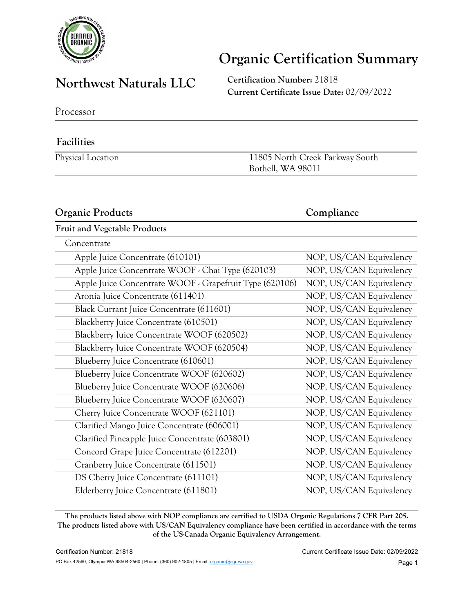

### **Northwest Naturals LLC Certification Number:** <sup>21818</sup>

**Current Certificate Issue Date:** 02/09/2022

Processor

### **Facilities**

Physical Location 11805 North Creek Parkway South Bothell, WA 98011

#### **Organic Products Compliance**

#### **Fruit and Vegetable Products**

| Concentrate                                             |                         |
|---------------------------------------------------------|-------------------------|
| Apple Juice Concentrate (610101)                        | NOP, US/CAN Equivalency |
| Apple Juice Concentrate WOOF - Chai Type (620103)       | NOP, US/CAN Equivalency |
| Apple Juice Concentrate WOOF - Grapefruit Type (620106) | NOP, US/CAN Equivalency |
| Aronia Juice Concentrate (611401)                       | NOP, US/CAN Equivalency |
| Black Currant Juice Concentrate (611601)                | NOP, US/CAN Equivalency |
| Blackberry Juice Concentrate (610501)                   | NOP, US/CAN Equivalency |
| Blackberry Juice Concentrate WOOF (620502)              | NOP, US/CAN Equivalency |
| Blackberry Juice Concentrate WOOF (620504)              | NOP, US/CAN Equivalency |
| Blueberry Juice Concentrate (610601)                    | NOP, US/CAN Equivalency |
| Blueberry Juice Concentrate WOOF (620602)               | NOP, US/CAN Equivalency |
| Blueberry Juice Concentrate WOOF (620606)               | NOP, US/CAN Equivalency |
| Blueberry Juice Concentrate WOOF (620607)               | NOP, US/CAN Equivalency |
| Cherry Juice Concentrate WOOF (621101)                  | NOP, US/CAN Equivalency |
| Clarified Mango Juice Concentrate (606001)              | NOP, US/CAN Equivalency |
| Clarified Pineapple Juice Concentrate (603801)          | NOP, US/CAN Equivalency |
| Concord Grape Juice Concentrate (612201)                | NOP, US/CAN Equivalency |
| Cranberry Juice Concentrate (611501)                    | NOP, US/CAN Equivalency |
| DS Cherry Juice Concentrate (611101)                    | NOP, US/CAN Equivalency |
| Elderberry Juice Concentrate (611801)                   | NOP, US/CAN Equivalency |
|                                                         |                         |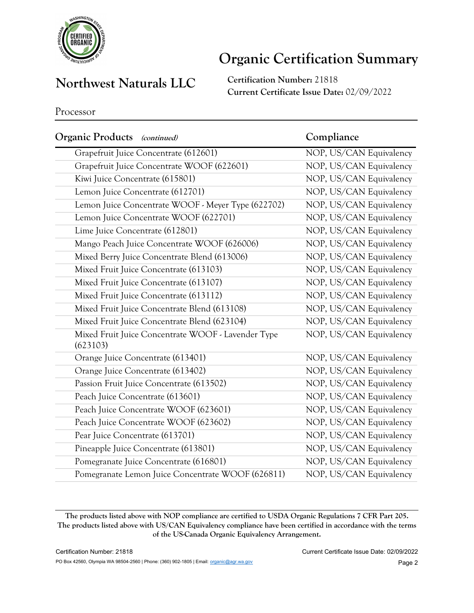

### **Northwest Naturals LLC Certification Number: 21818**

**Current Certificate Issue Date:** 02/09/2022

Processor

| Organic Products<br>(continued)                                | Compliance              |
|----------------------------------------------------------------|-------------------------|
| Grapefruit Juice Concentrate (612601)                          | NOP, US/CAN Equivalency |
| Grapefruit Juice Concentrate WOOF (622601)                     | NOP, US/CAN Equivalency |
| Kiwi Juice Concentrate (615801)                                | NOP, US/CAN Equivalency |
| Lemon Juice Concentrate (612701)                               | NOP, US/CAN Equivalency |
| Lemon Juice Concentrate WOOF - Meyer Type (622702)             | NOP, US/CAN Equivalency |
| Lemon Juice Concentrate WOOF (622701)                          | NOP, US/CAN Equivalency |
| Lime Juice Concentrate (612801)                                | NOP, US/CAN Equivalency |
| Mango Peach Juice Concentrate WOOF (626006)                    | NOP, US/CAN Equivalency |
| Mixed Berry Juice Concentrate Blend (613006)                   | NOP, US/CAN Equivalency |
| Mixed Fruit Juice Concentrate (613103)                         | NOP, US/CAN Equivalency |
| Mixed Fruit Juice Concentrate (613107)                         | NOP, US/CAN Equivalency |
| Mixed Fruit Juice Concentrate (613112)                         | NOP, US/CAN Equivalency |
| Mixed Fruit Juice Concentrate Blend (613108)                   | NOP, US/CAN Equivalency |
| Mixed Fruit Juice Concentrate Blend (623104)                   | NOP, US/CAN Equivalency |
| Mixed Fruit Juice Concentrate WOOF - Lavender Type<br>(623103) | NOP, US/CAN Equivalency |
| Orange Juice Concentrate (613401)                              | NOP, US/CAN Equivalency |
| Orange Juice Concentrate (613402)                              | NOP, US/CAN Equivalency |
| Passion Fruit Juice Concentrate (613502)                       | NOP, US/CAN Equivalency |
| Peach Juice Concentrate (613601)                               | NOP, US/CAN Equivalency |
| Peach Juice Concentrate WOOF (623601)                          | NOP, US/CAN Equivalency |
| Peach Juice Concentrate WOOF (623602)                          | NOP, US/CAN Equivalency |
| Pear Juice Concentrate (613701)                                | NOP, US/CAN Equivalency |
| Pineapple Juice Concentrate (613801)                           | NOP, US/CAN Equivalency |
| Pomegranate Juice Concentrate (616801)                         | NOP, US/CAN Equivalency |
| Pomegranate Lemon Juice Concentrate WOOF (626811)              | NOP, US/CAN Equivalency |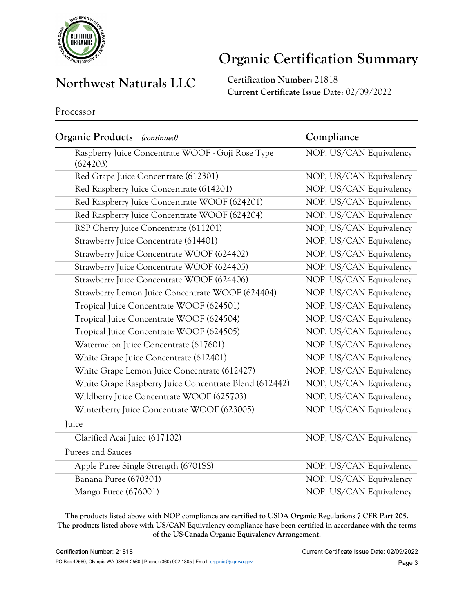

### **Northwest Naturals LLC Certification Number:** <sup>21818</sup>

**Current Certificate Issue Date:** 02/09/2022

Processor

| Organic Products (continued)                                  | Compliance              |
|---------------------------------------------------------------|-------------------------|
| Raspberry Juice Concentrate WOOF - Goji Rose Type<br>(624203) | NOP, US/CAN Equivalency |
| Red Grape Juice Concentrate (612301)                          | NOP, US/CAN Equivalency |
| Red Raspberry Juice Concentrate (614201)                      | NOP, US/CAN Equivalency |
| Red Raspberry Juice Concentrate WOOF (624201)                 | NOP, US/CAN Equivalency |
| Red Raspberry Juice Concentrate WOOF (624204)                 | NOP, US/CAN Equivalency |
| RSP Cherry Juice Concentrate (611201)                         | NOP, US/CAN Equivalency |
| Strawberry Juice Concentrate (614401)                         | NOP, US/CAN Equivalency |
| Strawberry Juice Concentrate WOOF (624402)                    | NOP, US/CAN Equivalency |
| Strawberry Juice Concentrate WOOF (624405)                    | NOP, US/CAN Equivalency |
| Strawberry Juice Concentrate WOOF (624406)                    | NOP, US/CAN Equivalency |
| Strawberry Lemon Juice Concentrate WOOF (624404)              | NOP, US/CAN Equivalency |
| Tropical Juice Concentrate WOOF (624501)                      | NOP, US/CAN Equivalency |
| Tropical Juice Concentrate WOOF (624504)                      | NOP, US/CAN Equivalency |
| Tropical Juice Concentrate WOOF (624505)                      | NOP, US/CAN Equivalency |
| Watermelon Juice Concentrate (617601)                         | NOP, US/CAN Equivalency |
| White Grape Juice Concentrate (612401)                        | NOP, US/CAN Equivalency |
| White Grape Lemon Juice Concentrate (612427)                  | NOP, US/CAN Equivalency |
| White Grape Raspberry Juice Concentrate Blend (612442)        | NOP, US/CAN Equivalency |
| Wildberry Juice Concentrate WOOF (625703)                     | NOP, US/CAN Equivalency |
| Winterberry Juice Concentrate WOOF (623005)                   | NOP, US/CAN Equivalency |
| Juice                                                         |                         |
| Clarified Acai Juice (617102)                                 | NOP, US/CAN Equivalency |
| Purees and Sauces                                             |                         |
| Apple Puree Single Strength (6701SS)                          | NOP, US/CAN Equivalency |
| Banana Puree (670301)                                         | NOP, US/CAN Equivalency |
| Mango Puree (676001)                                          | NOP, US/CAN Equivalency |